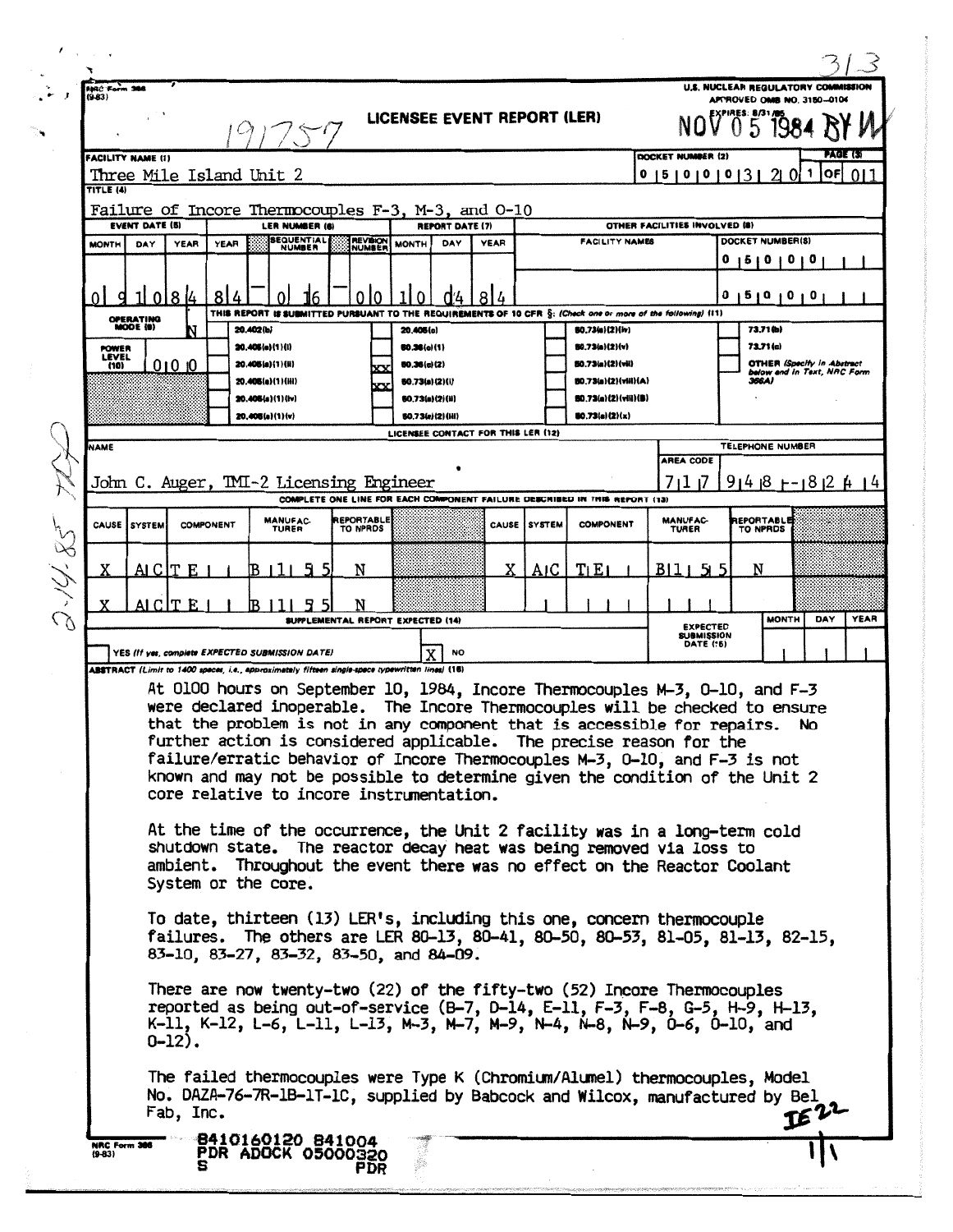| U.S. NUCLEAR REGULATORY COMMISSION<br>NAC Form<br>$(9 - 83)$<br>APPROVED OMB NO. 3150-0104<br>LICENSEE EVENT REPORT (LER)<br>$0.5$ 198<br>PAGE (S)<br>DOCKET NUMBER (2)<br><b>FACILITY NAME (1)</b><br><b>IOFI</b><br>0 5 0 0 0 3 2 0<br>1<br>Three Mile Island Unit 2<br>TITLE (4)<br>Failure of Incore Thermocouples F-3, M-3, and 0-10<br><b>EVENT DATE (5)</b><br>OTHER FACILITIES INVOLVED (8)<br>LER NUMBER (A)<br><b>REPORT DATE (7)</b><br><b>SEQUENTIAL</b><br>DOCKET NUMBER(S)<br><b>REVISION</b><br><b>FACILITY NAMES</b><br>DAY<br>YEAR<br><b>YEAR</b><br><b>MONTH</b><br><b>MONTH</b><br>DAY<br>YEAR<br>NUMBER<br>NUMBER<br>$01$ 0<br>o<br>510<br>8<br>8<br>0 1 9 1 0 1 0 1 0<br>I 8 I4<br>$\Omega$<br><sup>0</sup><br>Έ,<br>THIS REPORT IS SUBMITTED PURSUANT TO THE REQUIREMENTS OF 10 CFR S: (Check one or more of the following) (11)<br><b>OPERATING</b><br>MODE (9)<br>73.71 (b)<br>80.73(a)(2)(iv)<br>20,402(b)<br>20.406(c)<br>73.71(c)<br><b>BO.73(a)(2)(v)</b><br>20.405(a)(1)(i)<br>50.36(c)(1)<br><b>POWER</b><br><b>LEVEL</b><br><b>OTHER (Specify in Abstract</b><br>$010$ 10<br>50.73(a)(2)(vii)<br>20.406(a)(1)(H)<br>0.36(c)(2)<br>(10)<br>below and in Text, NRC Form<br>80.73(a)(2)(viii)(A)<br>366A)<br>20.406(a)(1)(HI)<br>80.73(a)(2)(i)<br>80.73(a){2}{viii}(8)<br><b>50.73(a)(2)(ii)</b><br>20.405(a)(1)(iv)<br>(0.73(a)(2)(x)<br>20.406(a)(1)(v)<br><b>BO.73(a)(2)(HI)</b><br>LICENSEE CONTACT FOR THIS LER (12)<br>TELEPHONE NUMBER<br><b>NAME</b><br>AREA CODE<br>John C. Auger, TMI-2 Licensing Engineer<br>7ו 11<br>$91418 + 1812 + 14$<br>COMPLETE ONE LINE FOR EACH COMPONENT FAILURE DESCRIBED IN THIS REPORT (13)<br><b>REPORTABLE</b><br><b>MANUFAC-</b><br><b>REPORTABLE</b><br><b>MANUFAC-</b><br>CAUSE SYSTEM<br><b>COMPONENT</b><br>CAUSE SYSTEM<br><b>COMPONENT</b><br>TO NPROS<br><b>TURER</b><br><b>TURER</b><br>TO NPRDS<br>X.<br>TLEI<br>N<br>N<br>AIC<br>B <sub>11</sub><br>AI C IT<br>E<br>B<br>AI CITE<br>N<br><b>MONTH</b><br><b>YEAR</b><br>DAY<br>SUPPLEMENTAL REPORT EXPECTED (14)<br><b>EXPECTED</b><br><b>SUBMISSION</b><br><b>DATE (15)</b><br>YES (If yes, complete EXPECTED SUBMISSION DATE)<br>NO<br>ABSTRACT (Limit to 1400 spaces, i.e., approximately fifteen single-space typewritten lines) (16)<br>At 0100 hours on September 10, 1984, Incore Thermocouples M-3, 0-10, and F-3<br>were declared inoperable. The Incore Thermocouples will be checked to ensure<br>that the problem is not in any component that is accessible for repairs.<br><b>No</b><br>further action is considered applicable. The precise reason for the<br>failure/erratic behavior of Incore Thermocouples M-3, 0-10, and F-3 is not<br>known and may not be possible to determine given the condition of the Unit 2<br>core relative to incore instrumentation.<br>At the time of the occurrence, the Unit 2 facility was in a long-term cold<br>shutdown state. The reactor decay heat was being removed via loss to<br>ambient. Throughout the event there was no effect on the Reactor Coolant<br>System or the core.<br>To date, thirteen (13) LER's, including this one, concern thermocouple<br>failures. The others are LER 80-13, 80-41, 80-50, 80-53, 81-05, 81-13, 82-15,<br>83-10, 83-27, 83-32, 83-50, and 84-09.<br>There are now twenty-two (22) of the fifty-two (52) Incore Thermocouples<br>reported as being out-of-service $(B-7, D-14, E-11, F-3, F-8, G-5, H-9, H-13,$<br>K-11, K-12, L-6, L-11, L-13, M-3, M-7, M-9, N-4, N-8, N-9, O-6, O-10, and<br>$0-12)$ .<br>The failed thermocouples were Type K (Chromium/Alumel) thermocouples, Model<br>No. DAZA-76-7R-1B-1T-1C, supplied by Babcock and Wilcox, manufactured by Bel |  |           |  |  |  |  |  |  |  |  |       |     |
|-----------------------------------------------------------------------------------------------------------------------------------------------------------------------------------------------------------------------------------------------------------------------------------------------------------------------------------------------------------------------------------------------------------------------------------------------------------------------------------------------------------------------------------------------------------------------------------------------------------------------------------------------------------------------------------------------------------------------------------------------------------------------------------------------------------------------------------------------------------------------------------------------------------------------------------------------------------------------------------------------------------------------------------------------------------------------------------------------------------------------------------------------------------------------------------------------------------------------------------------------------------------------------------------------------------------------------------------------------------------------------------------------------------------------------------------------------------------------------------------------------------------------------------------------------------------------------------------------------------------------------------------------------------------------------------------------------------------------------------------------------------------------------------------------------------------------------------------------------------------------------------------------------------------------------------------------------------------------------------------------------------------------------------------------------------------------------------------------------------------------------------------------------------------------------------------------------------------------------------------------------------------------------------------------------------------------------------------------------------------------------------------------------------------------------------------------------------------------------------------------------------------------------------------------------------------------------------------------------------------------------------------------------------------------------------------------------------------------------------------------------------------------------------------------------------------------------------------------------------------------------------------------------------------------------------------------------------------------------------------------------------------------------------------------------------------------------------------------------------------------------------------------------------------------------------------------------------------------------------------------------------------------------------------------------------------------------------------------------------------------------------------------------------------------------------------------------------------------------------------------------------------------------------------------------------------------------------------------------------------------------------------------------------------------------------------------------------|--|-----------|--|--|--|--|--|--|--|--|-------|-----|
|                                                                                                                                                                                                                                                                                                                                                                                                                                                                                                                                                                                                                                                                                                                                                                                                                                                                                                                                                                                                                                                                                                                                                                                                                                                                                                                                                                                                                                                                                                                                                                                                                                                                                                                                                                                                                                                                                                                                                                                                                                                                                                                                                                                                                                                                                                                                                                                                                                                                                                                                                                                                                                                                                                                                                                                                                                                                                                                                                                                                                                                                                                                                                                                                                                                                                                                                                                                                                                                                                                                                                                                                                                                                                                           |  |           |  |  |  |  |  |  |  |  |       |     |
|                                                                                                                                                                                                                                                                                                                                                                                                                                                                                                                                                                                                                                                                                                                                                                                                                                                                                                                                                                                                                                                                                                                                                                                                                                                                                                                                                                                                                                                                                                                                                                                                                                                                                                                                                                                                                                                                                                                                                                                                                                                                                                                                                                                                                                                                                                                                                                                                                                                                                                                                                                                                                                                                                                                                                                                                                                                                                                                                                                                                                                                                                                                                                                                                                                                                                                                                                                                                                                                                                                                                                                                                                                                                                                           |  |           |  |  |  |  |  |  |  |  |       |     |
|                                                                                                                                                                                                                                                                                                                                                                                                                                                                                                                                                                                                                                                                                                                                                                                                                                                                                                                                                                                                                                                                                                                                                                                                                                                                                                                                                                                                                                                                                                                                                                                                                                                                                                                                                                                                                                                                                                                                                                                                                                                                                                                                                                                                                                                                                                                                                                                                                                                                                                                                                                                                                                                                                                                                                                                                                                                                                                                                                                                                                                                                                                                                                                                                                                                                                                                                                                                                                                                                                                                                                                                                                                                                                                           |  |           |  |  |  |  |  |  |  |  |       | 011 |
|                                                                                                                                                                                                                                                                                                                                                                                                                                                                                                                                                                                                                                                                                                                                                                                                                                                                                                                                                                                                                                                                                                                                                                                                                                                                                                                                                                                                                                                                                                                                                                                                                                                                                                                                                                                                                                                                                                                                                                                                                                                                                                                                                                                                                                                                                                                                                                                                                                                                                                                                                                                                                                                                                                                                                                                                                                                                                                                                                                                                                                                                                                                                                                                                                                                                                                                                                                                                                                                                                                                                                                                                                                                                                                           |  |           |  |  |  |  |  |  |  |  |       |     |
|                                                                                                                                                                                                                                                                                                                                                                                                                                                                                                                                                                                                                                                                                                                                                                                                                                                                                                                                                                                                                                                                                                                                                                                                                                                                                                                                                                                                                                                                                                                                                                                                                                                                                                                                                                                                                                                                                                                                                                                                                                                                                                                                                                                                                                                                                                                                                                                                                                                                                                                                                                                                                                                                                                                                                                                                                                                                                                                                                                                                                                                                                                                                                                                                                                                                                                                                                                                                                                                                                                                                                                                                                                                                                                           |  |           |  |  |  |  |  |  |  |  |       |     |
|                                                                                                                                                                                                                                                                                                                                                                                                                                                                                                                                                                                                                                                                                                                                                                                                                                                                                                                                                                                                                                                                                                                                                                                                                                                                                                                                                                                                                                                                                                                                                                                                                                                                                                                                                                                                                                                                                                                                                                                                                                                                                                                                                                                                                                                                                                                                                                                                                                                                                                                                                                                                                                                                                                                                                                                                                                                                                                                                                                                                                                                                                                                                                                                                                                                                                                                                                                                                                                                                                                                                                                                                                                                                                                           |  |           |  |  |  |  |  |  |  |  |       |     |
|                                                                                                                                                                                                                                                                                                                                                                                                                                                                                                                                                                                                                                                                                                                                                                                                                                                                                                                                                                                                                                                                                                                                                                                                                                                                                                                                                                                                                                                                                                                                                                                                                                                                                                                                                                                                                                                                                                                                                                                                                                                                                                                                                                                                                                                                                                                                                                                                                                                                                                                                                                                                                                                                                                                                                                                                                                                                                                                                                                                                                                                                                                                                                                                                                                                                                                                                                                                                                                                                                                                                                                                                                                                                                                           |  |           |  |  |  |  |  |  |  |  |       |     |
|                                                                                                                                                                                                                                                                                                                                                                                                                                                                                                                                                                                                                                                                                                                                                                                                                                                                                                                                                                                                                                                                                                                                                                                                                                                                                                                                                                                                                                                                                                                                                                                                                                                                                                                                                                                                                                                                                                                                                                                                                                                                                                                                                                                                                                                                                                                                                                                                                                                                                                                                                                                                                                                                                                                                                                                                                                                                                                                                                                                                                                                                                                                                                                                                                                                                                                                                                                                                                                                                                                                                                                                                                                                                                                           |  |           |  |  |  |  |  |  |  |  |       |     |
|                                                                                                                                                                                                                                                                                                                                                                                                                                                                                                                                                                                                                                                                                                                                                                                                                                                                                                                                                                                                                                                                                                                                                                                                                                                                                                                                                                                                                                                                                                                                                                                                                                                                                                                                                                                                                                                                                                                                                                                                                                                                                                                                                                                                                                                                                                                                                                                                                                                                                                                                                                                                                                                                                                                                                                                                                                                                                                                                                                                                                                                                                                                                                                                                                                                                                                                                                                                                                                                                                                                                                                                                                                                                                                           |  |           |  |  |  |  |  |  |  |  |       |     |
|                                                                                                                                                                                                                                                                                                                                                                                                                                                                                                                                                                                                                                                                                                                                                                                                                                                                                                                                                                                                                                                                                                                                                                                                                                                                                                                                                                                                                                                                                                                                                                                                                                                                                                                                                                                                                                                                                                                                                                                                                                                                                                                                                                                                                                                                                                                                                                                                                                                                                                                                                                                                                                                                                                                                                                                                                                                                                                                                                                                                                                                                                                                                                                                                                                                                                                                                                                                                                                                                                                                                                                                                                                                                                                           |  |           |  |  |  |  |  |  |  |  |       |     |
|                                                                                                                                                                                                                                                                                                                                                                                                                                                                                                                                                                                                                                                                                                                                                                                                                                                                                                                                                                                                                                                                                                                                                                                                                                                                                                                                                                                                                                                                                                                                                                                                                                                                                                                                                                                                                                                                                                                                                                                                                                                                                                                                                                                                                                                                                                                                                                                                                                                                                                                                                                                                                                                                                                                                                                                                                                                                                                                                                                                                                                                                                                                                                                                                                                                                                                                                                                                                                                                                                                                                                                                                                                                                                                           |  |           |  |  |  |  |  |  |  |  |       |     |
|                                                                                                                                                                                                                                                                                                                                                                                                                                                                                                                                                                                                                                                                                                                                                                                                                                                                                                                                                                                                                                                                                                                                                                                                                                                                                                                                                                                                                                                                                                                                                                                                                                                                                                                                                                                                                                                                                                                                                                                                                                                                                                                                                                                                                                                                                                                                                                                                                                                                                                                                                                                                                                                                                                                                                                                                                                                                                                                                                                                                                                                                                                                                                                                                                                                                                                                                                                                                                                                                                                                                                                                                                                                                                                           |  |           |  |  |  |  |  |  |  |  |       |     |
|                                                                                                                                                                                                                                                                                                                                                                                                                                                                                                                                                                                                                                                                                                                                                                                                                                                                                                                                                                                                                                                                                                                                                                                                                                                                                                                                                                                                                                                                                                                                                                                                                                                                                                                                                                                                                                                                                                                                                                                                                                                                                                                                                                                                                                                                                                                                                                                                                                                                                                                                                                                                                                                                                                                                                                                                                                                                                                                                                                                                                                                                                                                                                                                                                                                                                                                                                                                                                                                                                                                                                                                                                                                                                                           |  |           |  |  |  |  |  |  |  |  |       |     |
|                                                                                                                                                                                                                                                                                                                                                                                                                                                                                                                                                                                                                                                                                                                                                                                                                                                                                                                                                                                                                                                                                                                                                                                                                                                                                                                                                                                                                                                                                                                                                                                                                                                                                                                                                                                                                                                                                                                                                                                                                                                                                                                                                                                                                                                                                                                                                                                                                                                                                                                                                                                                                                                                                                                                                                                                                                                                                                                                                                                                                                                                                                                                                                                                                                                                                                                                                                                                                                                                                                                                                                                                                                                                                                           |  |           |  |  |  |  |  |  |  |  |       |     |
|                                                                                                                                                                                                                                                                                                                                                                                                                                                                                                                                                                                                                                                                                                                                                                                                                                                                                                                                                                                                                                                                                                                                                                                                                                                                                                                                                                                                                                                                                                                                                                                                                                                                                                                                                                                                                                                                                                                                                                                                                                                                                                                                                                                                                                                                                                                                                                                                                                                                                                                                                                                                                                                                                                                                                                                                                                                                                                                                                                                                                                                                                                                                                                                                                                                                                                                                                                                                                                                                                                                                                                                                                                                                                                           |  |           |  |  |  |  |  |  |  |  |       |     |
|                                                                                                                                                                                                                                                                                                                                                                                                                                                                                                                                                                                                                                                                                                                                                                                                                                                                                                                                                                                                                                                                                                                                                                                                                                                                                                                                                                                                                                                                                                                                                                                                                                                                                                                                                                                                                                                                                                                                                                                                                                                                                                                                                                                                                                                                                                                                                                                                                                                                                                                                                                                                                                                                                                                                                                                                                                                                                                                                                                                                                                                                                                                                                                                                                                                                                                                                                                                                                                                                                                                                                                                                                                                                                                           |  |           |  |  |  |  |  |  |  |  |       |     |
|                                                                                                                                                                                                                                                                                                                                                                                                                                                                                                                                                                                                                                                                                                                                                                                                                                                                                                                                                                                                                                                                                                                                                                                                                                                                                                                                                                                                                                                                                                                                                                                                                                                                                                                                                                                                                                                                                                                                                                                                                                                                                                                                                                                                                                                                                                                                                                                                                                                                                                                                                                                                                                                                                                                                                                                                                                                                                                                                                                                                                                                                                                                                                                                                                                                                                                                                                                                                                                                                                                                                                                                                                                                                                                           |  |           |  |  |  |  |  |  |  |  |       |     |
|                                                                                                                                                                                                                                                                                                                                                                                                                                                                                                                                                                                                                                                                                                                                                                                                                                                                                                                                                                                                                                                                                                                                                                                                                                                                                                                                                                                                                                                                                                                                                                                                                                                                                                                                                                                                                                                                                                                                                                                                                                                                                                                                                                                                                                                                                                                                                                                                                                                                                                                                                                                                                                                                                                                                                                                                                                                                                                                                                                                                                                                                                                                                                                                                                                                                                                                                                                                                                                                                                                                                                                                                                                                                                                           |  |           |  |  |  |  |  |  |  |  |       |     |
|                                                                                                                                                                                                                                                                                                                                                                                                                                                                                                                                                                                                                                                                                                                                                                                                                                                                                                                                                                                                                                                                                                                                                                                                                                                                                                                                                                                                                                                                                                                                                                                                                                                                                                                                                                                                                                                                                                                                                                                                                                                                                                                                                                                                                                                                                                                                                                                                                                                                                                                                                                                                                                                                                                                                                                                                                                                                                                                                                                                                                                                                                                                                                                                                                                                                                                                                                                                                                                                                                                                                                                                                                                                                                                           |  |           |  |  |  |  |  |  |  |  |       |     |
|                                                                                                                                                                                                                                                                                                                                                                                                                                                                                                                                                                                                                                                                                                                                                                                                                                                                                                                                                                                                                                                                                                                                                                                                                                                                                                                                                                                                                                                                                                                                                                                                                                                                                                                                                                                                                                                                                                                                                                                                                                                                                                                                                                                                                                                                                                                                                                                                                                                                                                                                                                                                                                                                                                                                                                                                                                                                                                                                                                                                                                                                                                                                                                                                                                                                                                                                                                                                                                                                                                                                                                                                                                                                                                           |  |           |  |  |  |  |  |  |  |  |       |     |
|                                                                                                                                                                                                                                                                                                                                                                                                                                                                                                                                                                                                                                                                                                                                                                                                                                                                                                                                                                                                                                                                                                                                                                                                                                                                                                                                                                                                                                                                                                                                                                                                                                                                                                                                                                                                                                                                                                                                                                                                                                                                                                                                                                                                                                                                                                                                                                                                                                                                                                                                                                                                                                                                                                                                                                                                                                                                                                                                                                                                                                                                                                                                                                                                                                                                                                                                                                                                                                                                                                                                                                                                                                                                                                           |  |           |  |  |  |  |  |  |  |  |       |     |
|                                                                                                                                                                                                                                                                                                                                                                                                                                                                                                                                                                                                                                                                                                                                                                                                                                                                                                                                                                                                                                                                                                                                                                                                                                                                                                                                                                                                                                                                                                                                                                                                                                                                                                                                                                                                                                                                                                                                                                                                                                                                                                                                                                                                                                                                                                                                                                                                                                                                                                                                                                                                                                                                                                                                                                                                                                                                                                                                                                                                                                                                                                                                                                                                                                                                                                                                                                                                                                                                                                                                                                                                                                                                                                           |  |           |  |  |  |  |  |  |  |  |       |     |
| 8410160120 841004                                                                                                                                                                                                                                                                                                                                                                                                                                                                                                                                                                                                                                                                                                                                                                                                                                                                                                                                                                                                                                                                                                                                                                                                                                                                                                                                                                                                                                                                                                                                                                                                                                                                                                                                                                                                                                                                                                                                                                                                                                                                                                                                                                                                                                                                                                                                                                                                                                                                                                                                                                                                                                                                                                                                                                                                                                                                                                                                                                                                                                                                                                                                                                                                                                                                                                                                                                                                                                                                                                                                                                                                                                                                                         |  | Fab, Inc. |  |  |  |  |  |  |  |  | IE 22 |     |